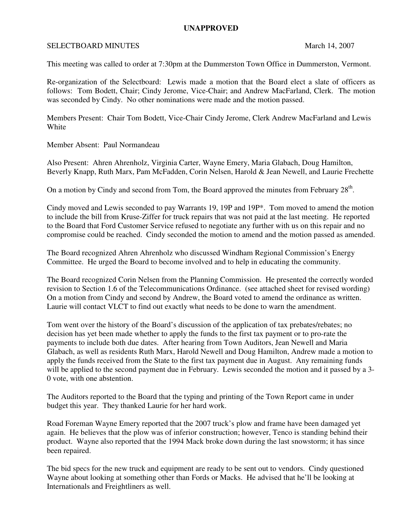## **UNAPPROVED**

## SELECTBOARD MINUTES March 14, 2007

This meeting was called to order at 7:30pm at the Dummerston Town Office in Dummerston, Vermont.

Re-organization of the Selectboard: Lewis made a motion that the Board elect a slate of officers as follows: Tom Bodett, Chair; Cindy Jerome, Vice-Chair; and Andrew MacFarland, Clerk. The motion was seconded by Cindy. No other nominations were made and the motion passed.

Members Present: Chair Tom Bodett, Vice-Chair Cindy Jerome, Clerk Andrew MacFarland and Lewis White

Member Absent: Paul Normandeau

Also Present: Ahren Ahrenholz, Virginia Carter, Wayne Emery, Maria Glabach, Doug Hamilton, Beverly Knapp, Ruth Marx, Pam McFadden, Corin Nelsen, Harold & Jean Newell, and Laurie Frechette

On a motion by Cindy and second from Tom, the Board approved the minutes from February  $28<sup>th</sup>$ .

Cindy moved and Lewis seconded to pay Warrants 19, 19P and 19P\*. Tom moved to amend the motion to include the bill from Kruse-Ziffer for truck repairs that was not paid at the last meeting. He reported to the Board that Ford Customer Service refused to negotiate any further with us on this repair and no compromise could be reached. Cindy seconded the motion to amend and the motion passed as amended.

The Board recognized Ahren Ahrenholz who discussed Windham Regional Commission's Energy Committee. He urged the Board to become involved and to help in educating the community.

The Board recognized Corin Nelsen from the Planning Commission. He presented the correctly worded revision to Section 1.6 of the Telecommunications Ordinance. (see attached sheet for revised wording) On a motion from Cindy and second by Andrew, the Board voted to amend the ordinance as written. Laurie will contact VLCT to find out exactly what needs to be done to warn the amendment.

Tom went over the history of the Board's discussion of the application of tax prebates/rebates; no decision has yet been made whether to apply the funds to the first tax payment or to pro-rate the payments to include both due dates. After hearing from Town Auditors, Jean Newell and Maria Glabach, as well as residents Ruth Marx, Harold Newell and Doug Hamilton, Andrew made a motion to apply the funds received from the State to the first tax payment due in August. Any remaining funds will be applied to the second payment due in February. Lewis seconded the motion and it passed by a 3-0 vote, with one abstention.

The Auditors reported to the Board that the typing and printing of the Town Report came in under budget this year. They thanked Laurie for her hard work.

Road Foreman Wayne Emery reported that the 2007 truck's plow and frame have been damaged yet again. He believes that the plow was of inferior construction; however, Tenco is standing behind their product. Wayne also reported that the 1994 Mack broke down during the last snowstorm; it has since been repaired.

The bid specs for the new truck and equipment are ready to be sent out to vendors. Cindy questioned Wayne about looking at something other than Fords or Macks. He advised that he'll be looking at Internationals and Freightliners as well.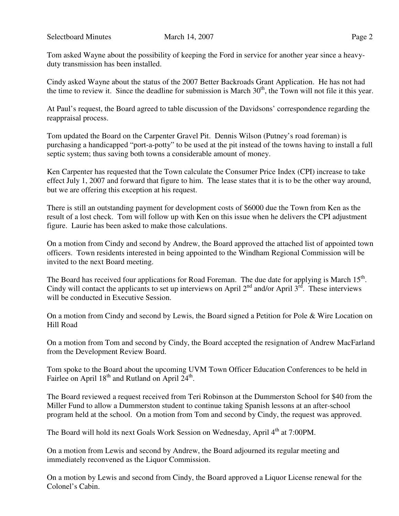Tom asked Wayne about the possibility of keeping the Ford in service for another year since a heavyduty transmission has been installed.

Cindy asked Wayne about the status of the 2007 Better Backroads Grant Application. He has not had the time to review it. Since the deadline for submission is March  $30<sup>th</sup>$ , the Town will not file it this year.

At Paul's request, the Board agreed to table discussion of the Davidsons' correspondence regarding the reappraisal process.

Tom updated the Board on the Carpenter Gravel Pit. Dennis Wilson (Putney's road foreman) is purchasing a handicapped "port-a-potty" to be used at the pit instead of the towns having to install a full septic system; thus saving both towns a considerable amount of money.

Ken Carpenter has requested that the Town calculate the Consumer Price Index (CPI) increase to take effect July 1, 2007 and forward that figure to him. The lease states that it is to be the other way around, but we are offering this exception at his request.

There is still an outstanding payment for development costs of \$6000 due the Town from Ken as the result of a lost check. Tom will follow up with Ken on this issue when he delivers the CPI adjustment figure. Laurie has been asked to make those calculations.

On a motion from Cindy and second by Andrew, the Board approved the attached list of appointed town officers. Town residents interested in being appointed to the Windham Regional Commission will be invited to the next Board meeting.

The Board has received four applications for Road Foreman. The due date for applying is March  $15<sup>th</sup>$ . Cindy will contact the applicants to set up interviews on April  $2<sup>nd</sup>$  and/or April  $3<sup>rd</sup>$ . These interviews will be conducted in Executive Session.

On a motion from Cindy and second by Lewis, the Board signed a Petition for Pole & Wire Location on Hill Road

On a motion from Tom and second by Cindy, the Board accepted the resignation of Andrew MacFarland from the Development Review Board.

Tom spoke to the Board about the upcoming UVM Town Officer Education Conferences to be held in Fairlee on April  $18^{th}$  and Rutland on April  $24^{th}$ .

The Board reviewed a request received from Teri Robinson at the Dummerston School for \$40 from the Miller Fund to allow a Dummerston student to continue taking Spanish lessons at an after-school program held at the school. On a motion from Tom and second by Cindy, the request was approved.

The Board will hold its next Goals Work Session on Wednesday, April 4<sup>th</sup> at 7:00PM.

On a motion from Lewis and second by Andrew, the Board adjourned its regular meeting and immediately reconvened as the Liquor Commission.

On a motion by Lewis and second from Cindy, the Board approved a Liquor License renewal for the Colonel's Cabin.